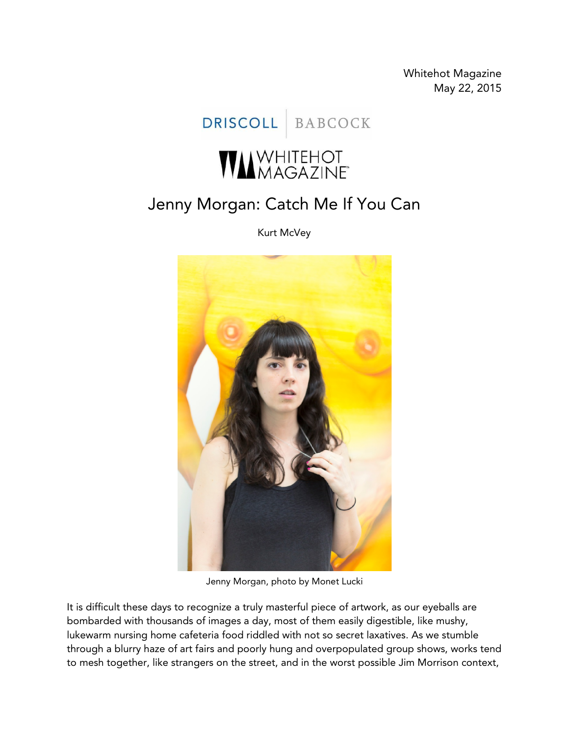Whitehot Magazine May 22, 2015

DRISCOLL BABCOCK

## **WA**MAGAZINE

## Jenny Morgan: Catch Me If You Can

Kurt McVey



Jenny Morgan, photo by Monet Lucki

It is difficult these days to recognize a truly masterful piece of artwork, as our eyeballs are bombarded with thousands of images a day, most of them easily digestible, like mushy, lukewarm nursing home cafeteria food riddled with not so secret laxatives. As we stumble through a blurry haze of art fairs and poorly hung and overpopulated group shows, works tend to mesh together, like strangers on the street, and in the worst possible Jim Morrison context,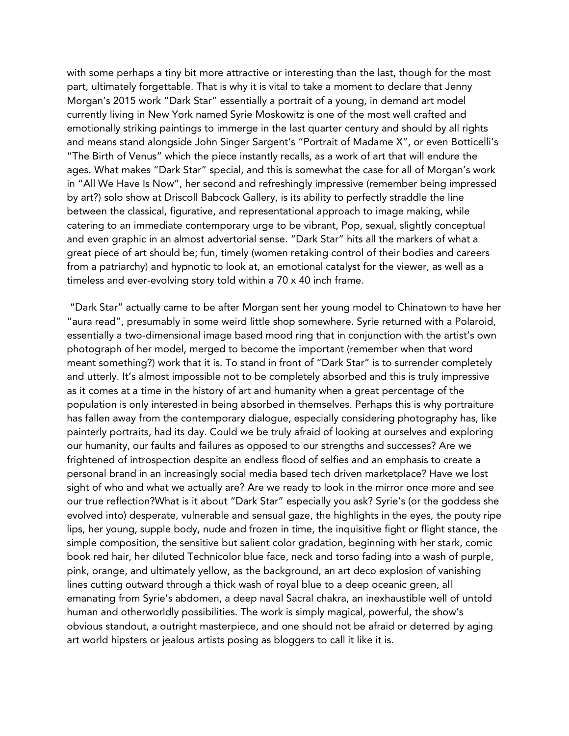with some perhaps a tiny bit more attractive or interesting than the last, though for the most part, ultimately forgettable. That is why it is vital to take a moment to declare that Jenny Morgan's 2015 work "Dark Star" essentially a portrait of a young, in demand art model currently living in New York named Syrie Moskowitz is one of the most well crafted and emotionally striking paintings to immerge in the last quarter century and should by all rights and means stand alongside John Singer Sargent's "Portrait of Madame X", or even Botticelli's "The Birth of Venus" which the piece instantly recalls, as a work of art that will endure the ages. What makes "Dark Star" special, and this is somewhat the case for all of Morgan's work in "All We Have Is Now", her second and refreshingly impressive (remember being impressed by art?) solo show at Driscoll Babcock Gallery, is its ability to perfectly straddle the line between the classical, figurative, and representational approach to image making, while catering to an immediate contemporary urge to be vibrant, Pop, sexual, slightly conceptual and even graphic in an almost advertorial sense. "Dark Star" hits all the markers of what a great piece of art should be; fun, timely (women retaking control of their bodies and careers from a patriarchy) and hypnotic to look at, an emotional catalyst for the viewer, as well as a timeless and ever-evolving story told within a 70 x 40 inch frame.

"Dark Star" actually came to be after Morgan sent her young model to Chinatown to have her "aura read", presumably in some weird little shop somewhere. Syrie returned with a Polaroid, essentially a two-dimensional image based mood ring that in conjunction with the artist's own photograph of her model, merged to become the important (remember when that word meant something?) work that it is. To stand in front of "Dark Star" is to surrender completely and utterly. It's almost impossible not to be completely absorbed and this is truly impressive as it comes at a time in the history of art and humanity when a great percentage of the population is only interested in being absorbed in themselves. Perhaps this is why portraiture has fallen away from the contemporary dialogue, especially considering photography has, like painterly portraits, had its day. Could we be truly afraid of looking at ourselves and exploring our humanity, our faults and failures as opposed to our strengths and successes? Are we frightened of introspection despite an endless flood of selfies and an emphasis to create a personal brand in an increasingly social media based tech driven marketplace? Have we lost sight of who and what we actually are? Are we ready to look in the mirror once more and see our true reflection?What is it about "Dark Star" especially you ask? Syrie's (or the goddess she evolved into) desperate, vulnerable and sensual gaze, the highlights in the eyes, the pouty ripe lips, her young, supple body, nude and frozen in time, the inquisitive fight or flight stance, the simple composition, the sensitive but salient color gradation, beginning with her stark, comic book red hair, her diluted Technicolor blue face, neck and torso fading into a wash of purple, pink, orange, and ultimately yellow, as the background, an art deco explosion of vanishing lines cutting outward through a thick wash of royal blue to a deep oceanic green, all emanating from Syrie's abdomen, a deep naval Sacral chakra, an inexhaustible well of untold human and otherworldly possibilities. The work is simply magical, powerful, the show's obvious standout, a outright masterpiece, and one should not be afraid or deterred by aging art world hipsters or jealous artists posing as bloggers to call it like it is.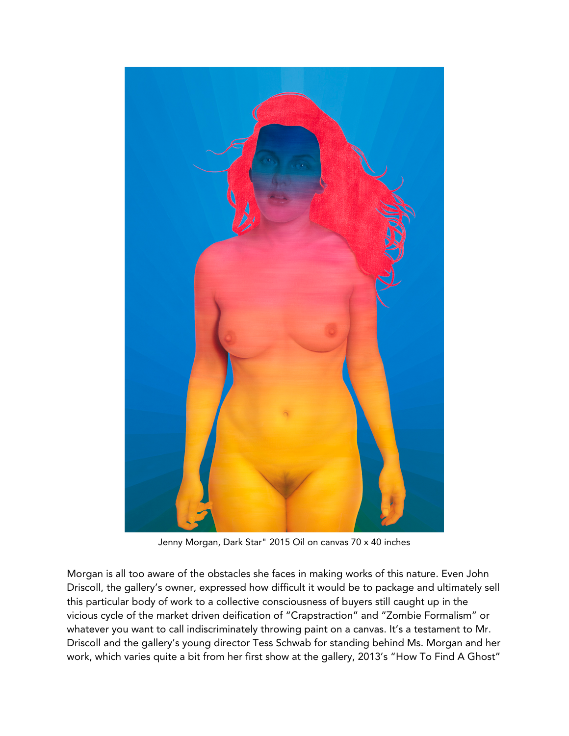

Jenny Morgan, Dark Star" 2015 Oil on canvas 70 x 40 inches

Morgan is all too aware of the obstacles she faces in making works of this nature. Even John Driscoll, the gallery's owner, expressed how difficult it would be to package and ultimately sell this particular body of work to a collective consciousness of buyers still caught up in the vicious cycle of the market driven deification of "Crapstraction" and "Zombie Formalism" or whatever you want to call indiscriminately throwing paint on a canvas. It's a testament to Mr. Driscoll and the gallery's young director Tess Schwab for standing behind Ms. Morgan and her work, which varies quite a bit from her first show at the gallery, 2013's "How To Find A Ghost"